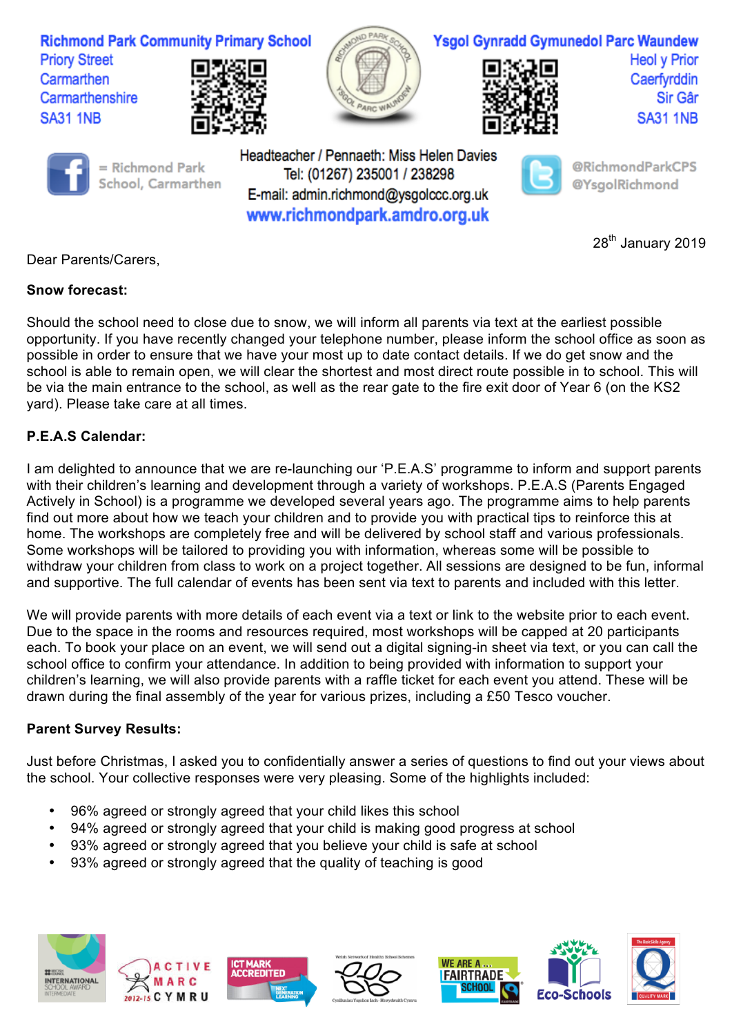

## **Snow forecast:**

Should the school need to close due to snow, we will inform all parents via text at the earliest possible opportunity. If you have recently changed your telephone number, please inform the school office as soon as possible in order to ensure that we have your most up to date contact details. If we do get snow and the school is able to remain open, we will clear the shortest and most direct route possible in to school. This will be via the main entrance to the school, as well as the rear gate to the fire exit door of Year 6 (on the KS2 yard). Please take care at all times.

## **P.E.A.S Calendar:**

I am delighted to announce that we are re-launching our 'P.E.A.S' programme to inform and support parents with their children's learning and development through a variety of workshops. P.E.A.S (Parents Engaged Actively in School) is a programme we developed several years ago. The programme aims to help parents find out more about how we teach your children and to provide you with practical tips to reinforce this at home. The workshops are completely free and will be delivered by school staff and various professionals. Some workshops will be tailored to providing you with information, whereas some will be possible to withdraw your children from class to work on a project together. All sessions are designed to be fun, informal and supportive. The full calendar of events has been sent via text to parents and included with this letter.

We will provide parents with more details of each event via a text or link to the website prior to each event. Due to the space in the rooms and resources required, most workshops will be capped at 20 participants each. To book your place on an event, we will send out a digital signing-in sheet via text, or you can call the school office to confirm your attendance. In addition to being provided with information to support your children's learning, we will also provide parents with a raffle ticket for each event you attend. These will be drawn during the final assembly of the year for various prizes, including a £50 Tesco voucher.

## **Parent Survey Results:**

Just before Christmas, I asked you to confidentially answer a series of questions to find out your views about the school. Your collective responses were very pleasing. Some of the highlights included:

- 96% agreed or strongly agreed that your child likes this school
- 94% agreed or strongly agreed that your child is making good progress at school
- 93% agreed or strongly agreed that you believe your child is safe at school
- 93% agreed or strongly agreed that the quality of teaching is good









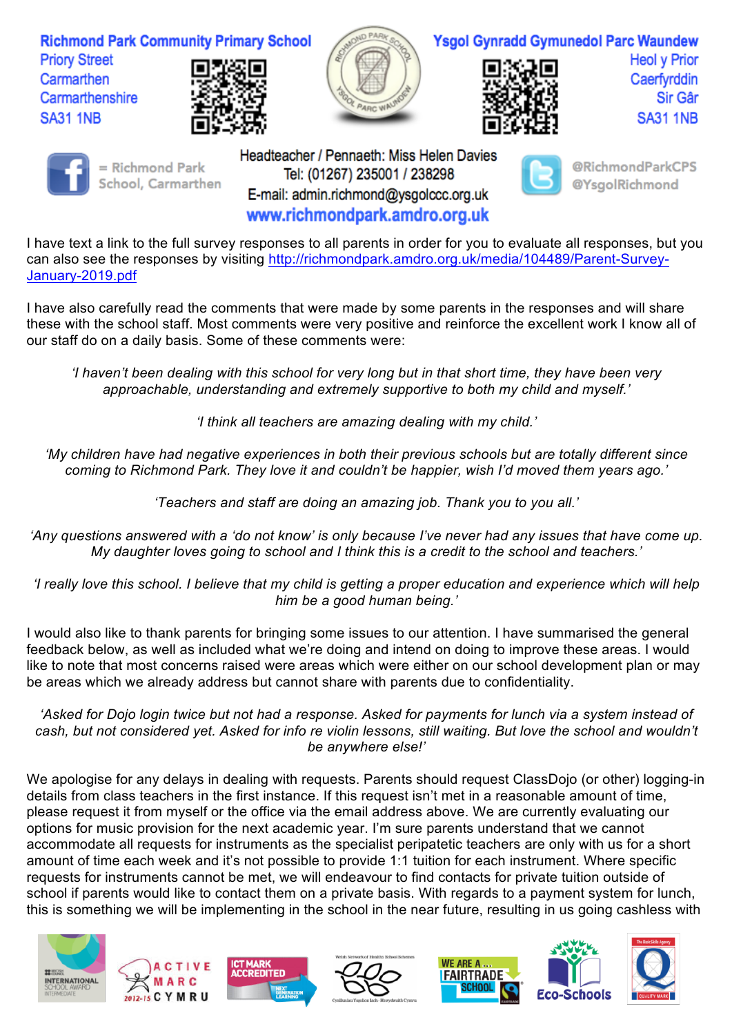

I have text a link to the full survey responses to all parents in order for you to evaluate all responses, but you can also see the responses by visiting http://richmondpark.amdro.org.uk/media/104489/Parent-Survey-January-2019.pdf

www.richmondpark.amdro.org.uk

I have also carefully read the comments that were made by some parents in the responses and will share these with the school staff. Most comments were very positive and reinforce the excellent work I know all of our staff do on a daily basis. Some of these comments were:

*'I haven't been dealing with this school for very long but in that short time, they have been very approachable, understanding and extremely supportive to both my child and myself.'*

*'I think all teachers are amazing dealing with my child.'*

*'My children have had negative experiences in both their previous schools but are totally different since coming to Richmond Park. They love it and couldn't be happier, wish I'd moved them years ago.'*

*'Teachers and staff are doing an amazing job. Thank you to you all.'*

*'Any questions answered with a 'do not know' is only because I've never had any issues that have come up. My daughter loves going to school and I think this is a credit to the school and teachers.'*

*'I really love this school. I believe that my child is getting a proper education and experience which will help him be a good human being.'*

I would also like to thank parents for bringing some issues to our attention. I have summarised the general feedback below, as well as included what we're doing and intend on doing to improve these areas. I would like to note that most concerns raised were areas which were either on our school development plan or may be areas which we already address but cannot share with parents due to confidentiality.

*'Asked for Dojo login twice but not had a response. Asked for payments for lunch via a system instead of*  cash, but not considered yet. Asked for info re violin lessons, still waiting. But love the school and wouldn't *be anywhere else!'*

We apologise for any delays in dealing with requests. Parents should request ClassDojo (or other) logging-in details from class teachers in the first instance. If this request isn't met in a reasonable amount of time, please request it from myself or the office via the email address above. We are currently evaluating our options for music provision for the next academic year. I'm sure parents understand that we cannot accommodate all requests for instruments as the specialist peripatetic teachers are only with us for a short amount of time each week and it's not possible to provide 1:1 tuition for each instrument. Where specific requests for instruments cannot be met, we will endeavour to find contacts for private tuition outside of school if parents would like to contact them on a private basis. With regards to a payment system for lunch, this is something we will be implementing in the school in the near future, resulting in us going cashless with









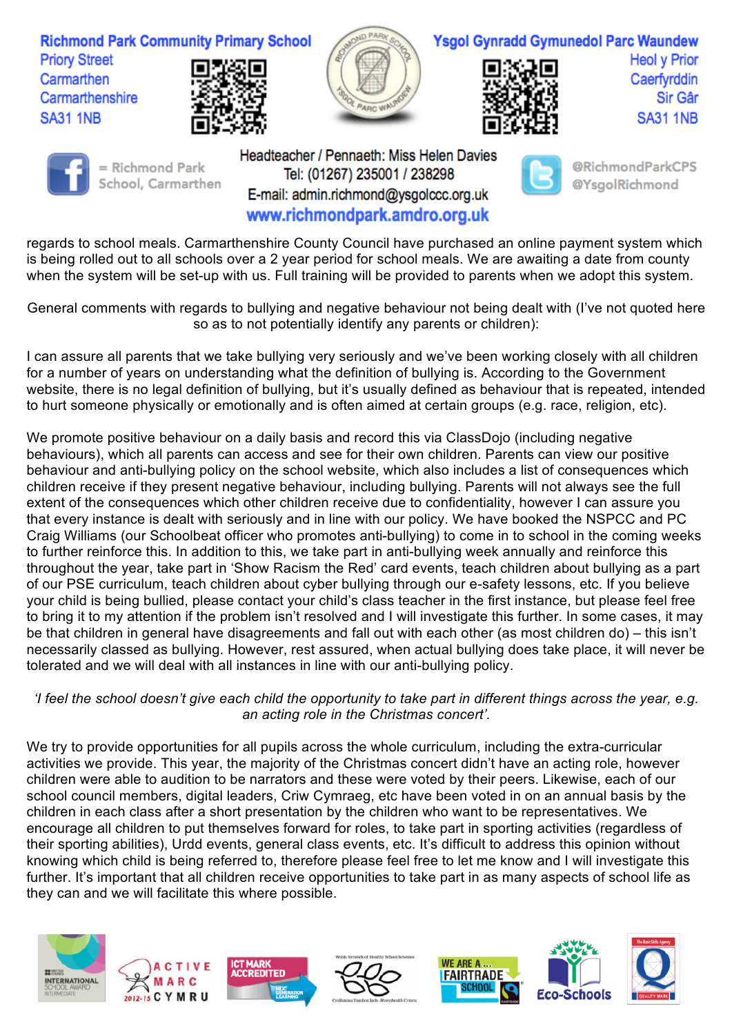

regards to school meals. Carmarthenshire County Council have purchased an online payment system which is being rolled out to all schools over a 2 year period for school meals. We are awaiting a date from county when the system will be set-up with us. Full training will be provided to parents when we adopt this system.

www.richmondpark.amdro.org.uk

General comments with regards to bullying and negative behaviour not being dealt with (I've not quoted here so as to not potentially identify any parents or children):

I can assure all parents that we take bullying very seriously and we've been working closely with all children for a number of years on understanding what the definition of bullying is. According to the Government website, there is no legal definition of bullying, but it's usually defined as behaviour that is repeated, intended to hurt someone physically or emotionally and is often aimed at certain groups (e.g. race, religion, etc).

We promote positive behaviour on a daily basis and record this via ClassDojo (including negative behaviours), which all parents can access and see for their own children. Parents can view our positive behaviour and anti-bullying policy on the school website, which also includes a list of consequences which children receive if they present negative behaviour, including bullying. Parents will not always see the full extent of the consequences which other children receive due to confidentiality, however I can assure you that every instance is dealt with seriously and in line with our policy. We have booked the NSPCC and PC Craig Williams (our Schoolbeat officer who promotes anti-bullying) to come in to school in the coming weeks to further reinforce this. In addition to this, we take part in anti-bullying week annually and reinforce this throughout the year, take part in 'Show Racism the Red' card events, teach children about bullying as a part of our PSE curriculum, teach children about cyber bullying through our e-safety lessons, etc. If you believe your child is being bullied, please contact your child's class teacher in the first instance, but please feel free to bring it to my attention if the problem isn't resolved and I will investigate this further. In some cases, it may be that children in general have disagreements and fall out with each other (as most children do) – this isn't necessarily classed as bullying. However, rest assured, when actual bullying does take place, it will never be tolerated and we will deal with all instances in line with our anti-bullying policy.

## *'I feel the school doesn't give each child the opportunity to take part in different things across the year, e.g. an acting role in the Christmas concert'.*

We try to provide opportunities for all pupils across the whole curriculum, including the extra-curricular activities we provide. This year, the majority of the Christmas concert didn't have an acting role, however children were able to audition to be narrators and these were voted by their peers. Likewise, each of our school council members, digital leaders, Criw Cymraeg, etc have been voted in on an annual basis by the children in each class after a short presentation by the children who want to be representatives. We encourage all children to put themselves forward for roles, to take part in sporting activities (regardless of their sporting abilities), Urdd events, general class events, etc. It's difficult to address this opinion without knowing which child is being referred to, therefore please feel free to let me know and I will investigate this further. It's important that all children receive opportunities to take part in as many aspects of school life as they can and we will facilitate this where possible.